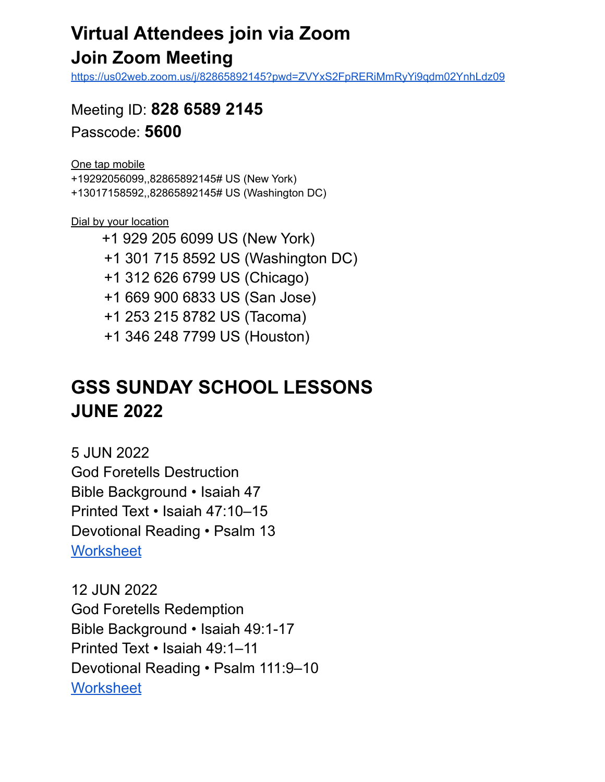## **Virtual Attendees join via Zoom Join Zoom Meeting**

<https://us02web.zoom.us/j/82865892145?pwd=ZVYxS2FpRERiMmRyYi9qdm02YnhLdz09>

Meeting ID: **828 6589 2145** Passcode: **5600**

One tap mobile

+19292056099,,82865892145# US (New York) +13017158592,,82865892145# US (Washington DC)

Dial by your location

+1 929 205 6099 US (New York)

+1 301 715 8592 US (Washington DC)

+1 312 626 6799 US (Chicago)

+1 669 900 6833 US (San Jose)

+1 253 215 8782 US (Tacoma)

+1 346 248 7799 US (Houston)

## **GSS SUNDAY SCHOOL LESSONS JUNE 2022**

5 JUN 2022 God Foretells Destruction Bible Background • Isaiah 47 Printed Text • Isaiah 47:10–15 Devotional Reading • Psalm 13 **[Worksheet](https://drive.google.com/file/d/16TxxA_RzQ8a2FTNX3B0QOb28kXfu0Elg/view?usp=drivesdk)** 

12 JUN 2022 God Foretells Redemption Bible Background • Isaiah 49:1-17 Printed Text • Isaiah 49:1–11 Devotional Reading • Psalm 111:9–10 **[Worksheet](https://drive.google.com/file/d/1y0QfuJySzTJzBe11TmMTUAxZy8dg7S-i/view?usp=drivesdk)**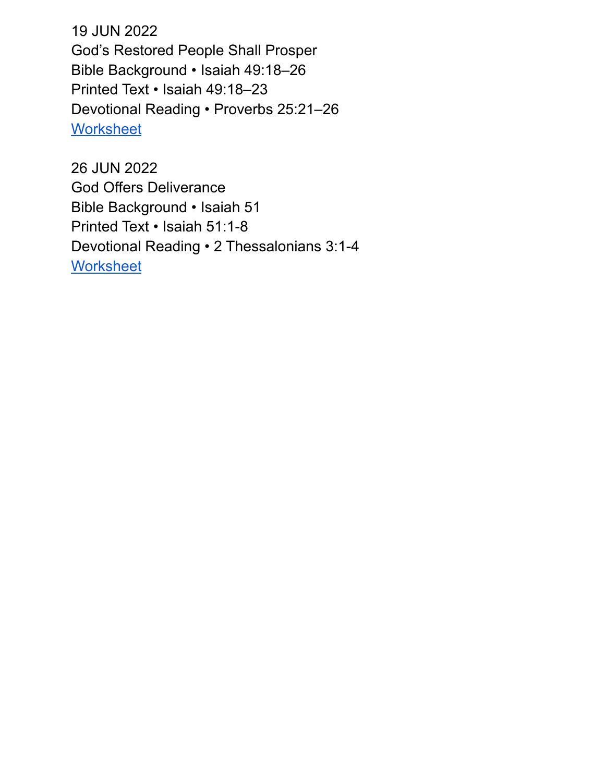19 JUN 2022 God's Restored People Shall Prosper Bible Background • Isaiah 49:18–26 Printed Text • Isaiah 49:18–23 Devotional Reading • Proverbs 25:21–26 **[Worksheet](https://drive.google.com/file/d/1EWihQ9IoDRjcowsMyDSF--f4NOJrfVNg/view?usp=drivesdk)** 

26 JUN 2022 God Offers Deliverance Bible Background • Isaiah 51 Printed Text • Isaiah 51:1-8 Devotional Reading • 2 Thessalonians 3:1-4 **[Worksheet](https://drive.google.com/file/d/1G8MfvLARZr82rZF46nrR5TZx8_m4LLbE/view?usp=drivesdk)**